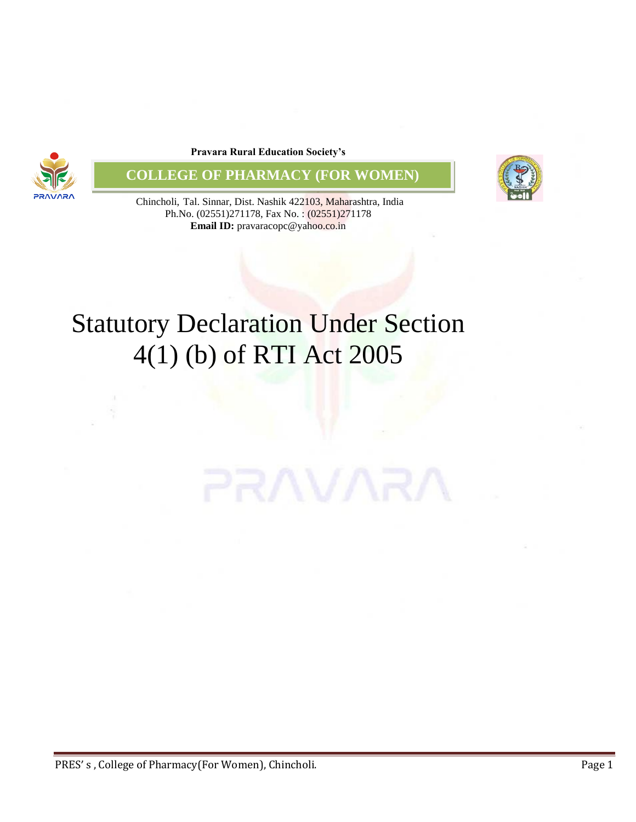**Pravara Rural Education Society's**





Chincholi, Tal. Sinnar, Dist. Nashik 422103, Maharashtra, India Ph.No. (02551)271178, Fax No. : (02551)271178 **Email ID:** pravaracopc@yahoo.co.in

# Statutory Declaration Under Section 4(1) (b) of RTI Act 2005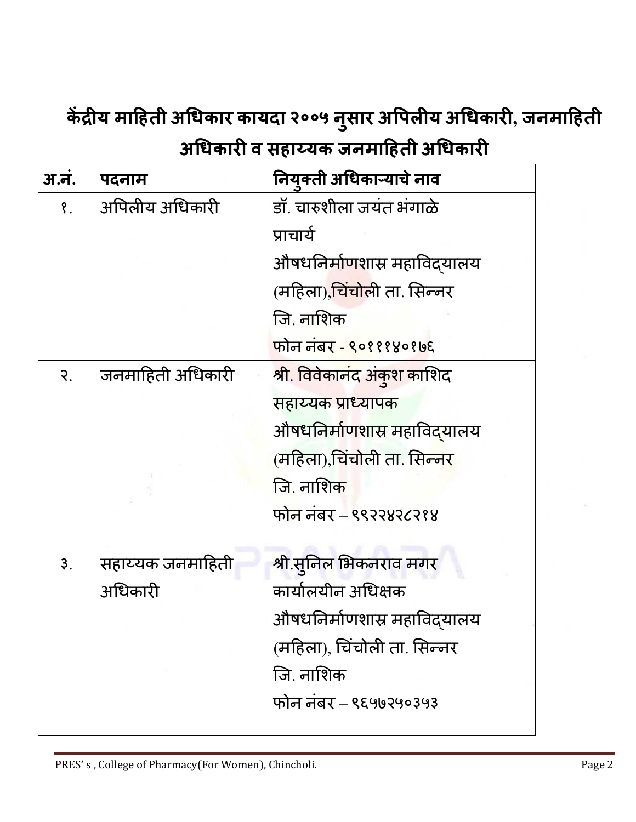## **केंद्रीय माहिती अधिकार कायदा २००५ न ुसार अपिलीय अधिकारी, जनमाहिती अधिकारी व सिाय्यक जनमाहिती अधिकारी**

| अ.नं.                 | पदनाम            | नियुक्ती अधिकाऱ्याचे नाव                   |
|-----------------------|------------------|--------------------------------------------|
| የ.                    | अपिलीय अधिकारी   | डॉ. चारुशीला जयंत भंगाळे                   |
|                       |                  | प्राचार्य                                  |
|                       |                  | औषधनि <u>र्माणशा</u> स्र महाविद्यालय       |
|                       |                  | (महिला), चिं <mark>चो</mark> ली ता. सिन्नर |
|                       |                  | जि. नाशिक                                  |
|                       |                  | फोन नंबर - ९०१११४०१७६                      |
| $\mathcal{S}_{\cdot}$ | जनमाहिती अधिकारी | <mark>श्री. विवेकानंद अंकुश का</mark> शिद  |
|                       |                  | सहाय्यक प्राध्यापक                         |
|                       |                  | औषधनिर्माणशास्र महाविद् <mark>या</mark> लय |
|                       |                  | (महिला),चिंचोली ता. सिन्नर                 |
|                       |                  | जि. नाशिक                                  |
|                       |                  | फोन नंबर – ९९२२४२८२१४                      |
|                       |                  |                                            |
| 3 <sub>1</sub>        | सहाय्यक जनमाहिती | श्री.स् <b>निल भिकनराव म</b> गर            |
|                       | अधिकारी          | कार्यालयीन अधिक्षक                         |
|                       |                  | औषधनिर्माणशास्र महाविदयालय                 |
|                       |                  | (महिला), चिंचोली ता. सिन्नर                |
|                       |                  | जि. नाशिक                                  |
|                       |                  | फोन नंबर - ९६५७२५०३५३                      |
|                       |                  |                                            |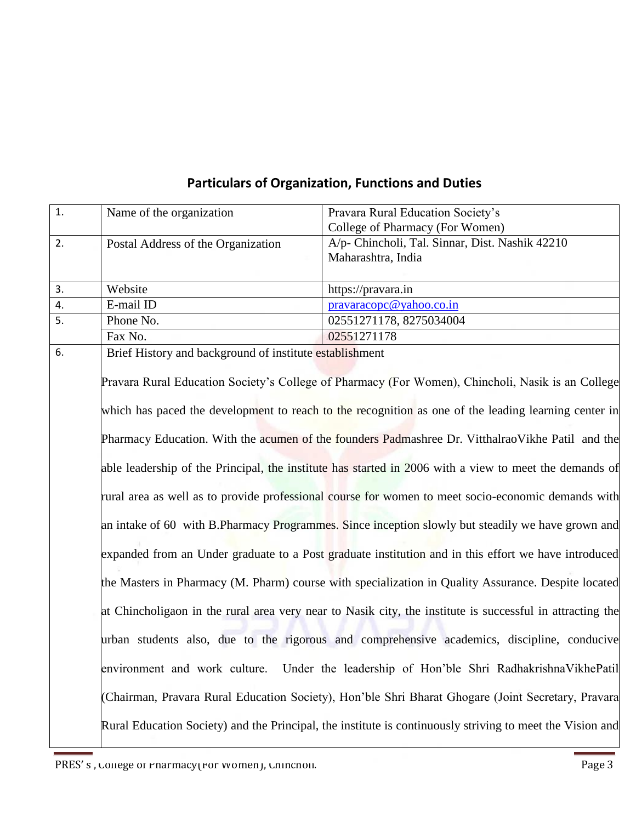| 1.               | Name of the organization                                                                                                                                                                                                                                                                                                                                                                                                                                                                                                       | Pravara Rural Education Society's                                                                         |  |
|------------------|--------------------------------------------------------------------------------------------------------------------------------------------------------------------------------------------------------------------------------------------------------------------------------------------------------------------------------------------------------------------------------------------------------------------------------------------------------------------------------------------------------------------------------|-----------------------------------------------------------------------------------------------------------|--|
|                  |                                                                                                                                                                                                                                                                                                                                                                                                                                                                                                                                | College of Pharmacy (For Women)                                                                           |  |
| $\overline{2}$ . | Postal Address of the Organization                                                                                                                                                                                                                                                                                                                                                                                                                                                                                             | A/p- Chincholi, Tal. Sinnar, Dist. Nashik 42210                                                           |  |
|                  |                                                                                                                                                                                                                                                                                                                                                                                                                                                                                                                                | Maharashtra, India                                                                                        |  |
|                  |                                                                                                                                                                                                                                                                                                                                                                                                                                                                                                                                |                                                                                                           |  |
| 3.               | Website                                                                                                                                                                                                                                                                                                                                                                                                                                                                                                                        | https://pravara.in                                                                                        |  |
| 4.               | E-mail ID                                                                                                                                                                                                                                                                                                                                                                                                                                                                                                                      | pravaracopc@yahoo.co.in                                                                                   |  |
| 5.               | Phone No.                                                                                                                                                                                                                                                                                                                                                                                                                                                                                                                      | 02551271178, 8275034004                                                                                   |  |
|                  | Fax No.                                                                                                                                                                                                                                                                                                                                                                                                                                                                                                                        | 02551271178                                                                                               |  |
| 6.               | Brief History and background of institute establishment                                                                                                                                                                                                                                                                                                                                                                                                                                                                        |                                                                                                           |  |
|                  |                                                                                                                                                                                                                                                                                                                                                                                                                                                                                                                                |                                                                                                           |  |
|                  | Pravara Rural Education Society's College of Pharmacy (For Women), Chincholi, Nasik is an College<br>which has paced the development to reach to the recognition as one of the leading learning center in<br>Pharmacy Education. With the acumen of the founders Padmashree Dr. Vitthalrao Vikhe Patil and the<br>able leadership of the Principal, the institute has started in 2006 with a view to meet the demands of<br>rural area as well as to provide professional course for women to meet socio-economic demands with |                                                                                                           |  |
|                  |                                                                                                                                                                                                                                                                                                                                                                                                                                                                                                                                |                                                                                                           |  |
|                  |                                                                                                                                                                                                                                                                                                                                                                                                                                                                                                                                |                                                                                                           |  |
|                  |                                                                                                                                                                                                                                                                                                                                                                                                                                                                                                                                |                                                                                                           |  |
|                  |                                                                                                                                                                                                                                                                                                                                                                                                                                                                                                                                |                                                                                                           |  |
|                  |                                                                                                                                                                                                                                                                                                                                                                                                                                                                                                                                |                                                                                                           |  |
|                  |                                                                                                                                                                                                                                                                                                                                                                                                                                                                                                                                |                                                                                                           |  |
|                  |                                                                                                                                                                                                                                                                                                                                                                                                                                                                                                                                |                                                                                                           |  |
|                  |                                                                                                                                                                                                                                                                                                                                                                                                                                                                                                                                |                                                                                                           |  |
|                  |                                                                                                                                                                                                                                                                                                                                                                                                                                                                                                                                |                                                                                                           |  |
|                  | an intake of 60 with B.Pharmacy Programmes. Since inception slowly but steadily we have grown and                                                                                                                                                                                                                                                                                                                                                                                                                              |                                                                                                           |  |
|                  | expanded from an Under graduate to a Post graduate institution and in this effort we have introduced                                                                                                                                                                                                                                                                                                                                                                                                                           |                                                                                                           |  |
|                  |                                                                                                                                                                                                                                                                                                                                                                                                                                                                                                                                |                                                                                                           |  |
|                  | the Masters in Pharmacy (M. Pharm) course with specialization in Quality Assurance. Despite located                                                                                                                                                                                                                                                                                                                                                                                                                            |                                                                                                           |  |
|                  |                                                                                                                                                                                                                                                                                                                                                                                                                                                                                                                                |                                                                                                           |  |
|                  |                                                                                                                                                                                                                                                                                                                                                                                                                                                                                                                                | at Chincholigaon in the rural area very near to Nasik city, the institute is successful in attracting the |  |
|                  |                                                                                                                                                                                                                                                                                                                                                                                                                                                                                                                                |                                                                                                           |  |
|                  |                                                                                                                                                                                                                                                                                                                                                                                                                                                                                                                                | urban students also, due to the rigorous and comprehensive academics, discipline, conducive               |  |
|                  |                                                                                                                                                                                                                                                                                                                                                                                                                                                                                                                                |                                                                                                           |  |
|                  |                                                                                                                                                                                                                                                                                                                                                                                                                                                                                                                                | environment and work culture. Under the leadership of Hon'ble Shri RadhakrishnaVikhePatil                 |  |
|                  |                                                                                                                                                                                                                                                                                                                                                                                                                                                                                                                                |                                                                                                           |  |
|                  |                                                                                                                                                                                                                                                                                                                                                                                                                                                                                                                                | (Chairman, Pravara Rural Education Society), Hon'ble Shri Bharat Ghogare (Joint Secretary, Pravara        |  |
|                  |                                                                                                                                                                                                                                                                                                                                                                                                                                                                                                                                |                                                                                                           |  |
|                  |                                                                                                                                                                                                                                                                                                                                                                                                                                                                                                                                | Rural Education Society) and the Principal, the institute is continuously striving to meet the Vision and |  |

## **Particulars of Organization, Functions and Duties**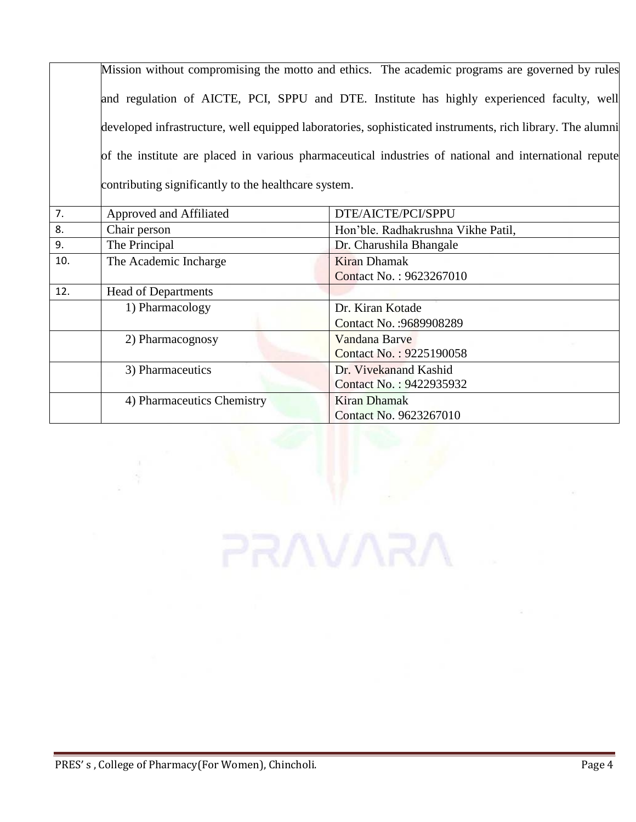|     |                                                      | Mission without compromising the motto and ethics. The academic programs are governed by rules            |
|-----|------------------------------------------------------|-----------------------------------------------------------------------------------------------------------|
|     |                                                      | and regulation of AICTE, PCI, SPPU and DTE. Institute has highly experienced faculty, well                |
|     |                                                      | developed infrastructure, well equipped laboratories, sophisticated instruments, rich library. The alumni |
|     |                                                      | of the institute are placed in various pharmaceutical industries of national and international repute     |
|     | contributing significantly to the healthcare system. |                                                                                                           |
| 7.  | Approved and Affiliated                              | DTE/AICTE/PCI/SPPU                                                                                        |
| 8.  | Chair person                                         | Hon'ble. Radhakrushna Vikhe Patil,                                                                        |
| 9.  | The Principal                                        | Dr. Charushila Bhangale                                                                                   |
| 10. | The Academic Incharge                                | <b>Kiran Dhamak</b>                                                                                       |
|     |                                                      | Contact No.: 9623267010                                                                                   |
| 12. | <b>Head of Departments</b>                           |                                                                                                           |
|     | 1) Pharmacology                                      | Dr. Kiran Kotade                                                                                          |
|     |                                                      | Contact No.: 9689908289                                                                                   |
|     | 2) Pharmacognosy                                     | Vandana Barve                                                                                             |
|     |                                                      | Contact No.: 9225190058                                                                                   |
|     | 3) Pharmaceutics                                     | Dr. Vivekanand Kashid                                                                                     |
|     |                                                      | Contact No.: 9422935932                                                                                   |
|     | 4) Pharmaceutics Chemistry                           | Kiran Dhamak                                                                                              |
|     |                                                      | Contact No. 9623267010                                                                                    |

**NRAVARR**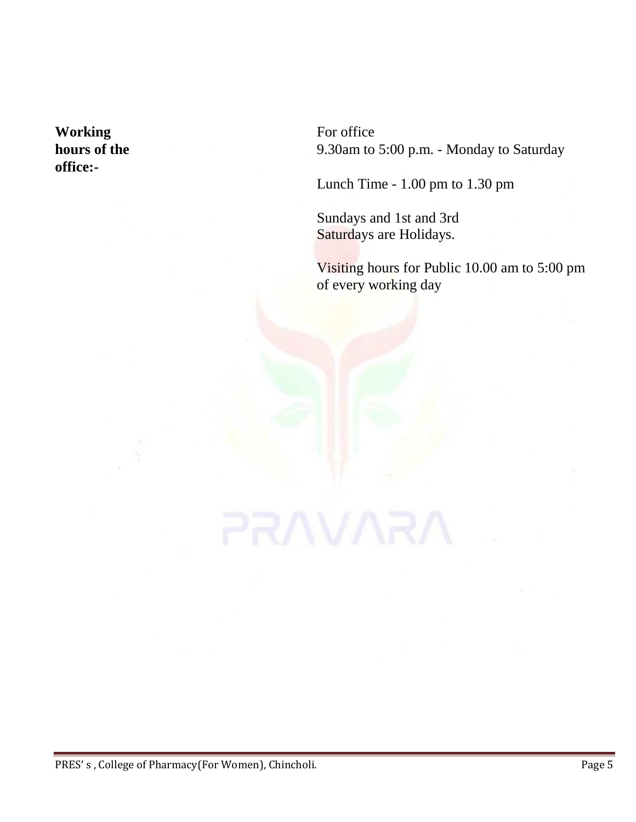**Working** For office **office:-**

**hours of the** 9.30am to 5:00 p.m. - Monday to Saturday

Lunch Time - 1.00 pm to 1.30 pm

Sundays and 1st and 3rd Saturdays are Holidays.

RRAVARA

Visiting hours for Public 10.00 am to 5:00 pm of every working day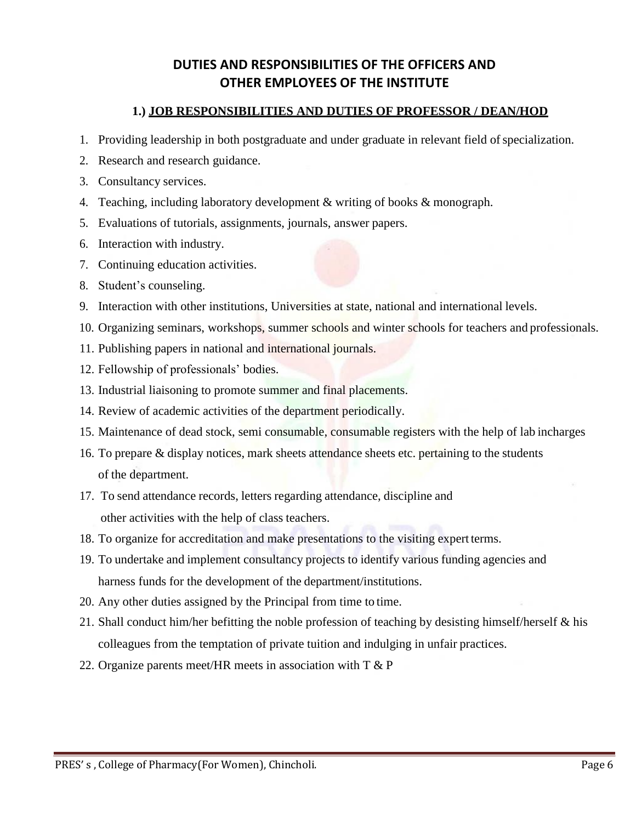## **DUTIES AND RESPONSIBILITIES OF THE OFFICERS AND OTHER EMPLOYEES OF THE INSTITUTE**

## **1.) JOB RESPONSIBILITIES AND DUTIES OF PROFESSOR / DEAN/HOD**

- 1. Providing leadership in both postgraduate and under graduate in relevant field of specialization.
- 2. Research and research guidance.
- 3. Consultancy services.
- 4. Teaching, including laboratory development & writing of books & monograph.
- 5. Evaluations of tutorials, assignments, journals, answer papers.
- 6. Interaction with industry.
- 7. Continuing education activities.
- 8. Student's counseling.
- 9. Interaction with other institutions, Universities at state, national and international levels.
- 10. Organizing seminars, workshops, summer schools and winter schools for teachers and professionals.
- 11. Publishing papers in national and international journals.
- 12. Fellowship of professionals' bodies.
- 13. Industrial liaisoning to promote summer and final placements.
- 14. Review of academic activities of the department periodically.
- 15. Maintenance of dead stock, semi consumable, consumable registers with the help of lab incharges
- 16. To prepare & display notices, mark sheets attendance sheets etc. pertaining to the students of the department.
- 17. To send attendance records, letters regarding attendance, discipline and other activities with the help of class teachers.
- 18. To organize for accreditation and make presentations to the visiting expert terms.
- 19. To undertake and implement consultancy projects to identify various funding agencies and harness funds for the development of the department/institutions.
- 20. Any other duties assigned by the Principal from time to time.
- 21. Shall conduct him/her befitting the noble profession of teaching by desisting himself/herself & his colleagues from the temptation of private tuition and indulging in unfair practices.
- 22. Organize parents meet/HR meets in association with T & P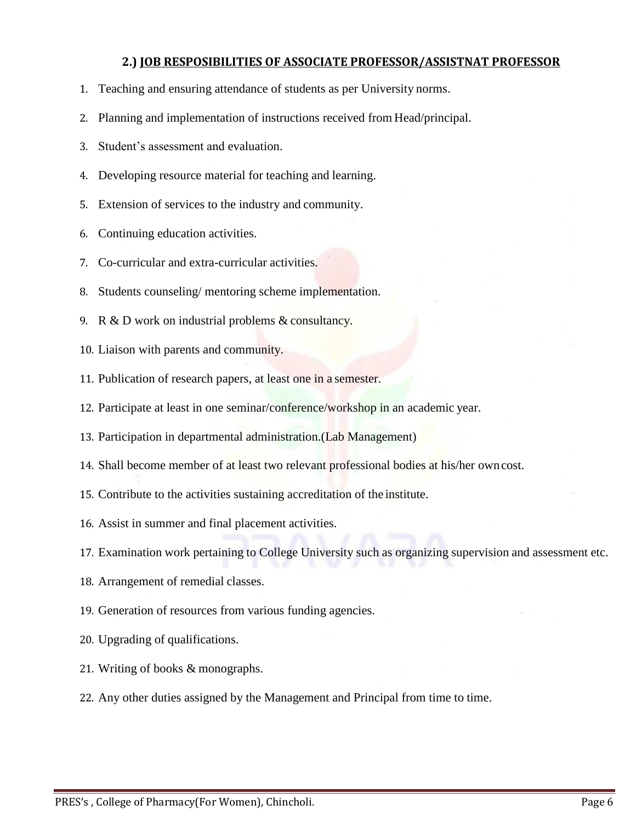### **2.) JOB RESPOSIBILITIES OF ASSOCIATE PROFESSOR/ASSISTNAT PROFESSOR**

- 1. Teaching and ensuring attendance of students as per University norms.
- 2. Planning and implementation of instructions received from Head/principal.
- 3. Student's assessment and evaluation.
- 4. Developing resource material for teaching and learning.
- 5. Extension of services to the industry and community.
- 6. Continuing education activities.
- 7. Co-curricular and extra-curricular activities.
- 8. Students counseling/ mentoring scheme implementation.
- 9. R & D work on industrial problems & consultancy.
- 10. Liaison with parents and community.
- 11. Publication of research papers, at least one in a semester.
- 12. Participate at least in one seminar/conference/workshop in an academic year.
- 13. Participation in departmental administration.(Lab Management)
- 14. Shall become member of at least two relevant professional bodies at his/her owncost.
- 15. Contribute to the activities sustaining accreditation of the institute.
- 16. Assist in summer and final placement activities.
- 17. Examination work pertaining to College University such as organizing supervision and assessment etc.
- 18. Arrangement of remedial classes.
- 19. Generation of resources from various funding agencies.
- 20. Upgrading of qualifications.
- 21. Writing of books & monographs.
- 22. Any other duties assigned by the Management and Principal from time to time.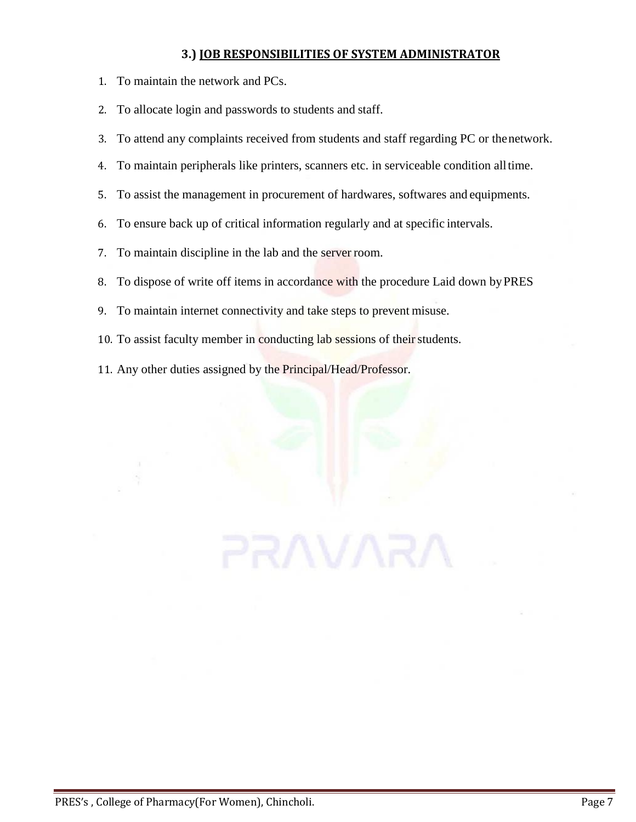#### **3.) JOB RESPONSIBILITIES OF SYSTEM ADMINISTRATOR**

- 1. To maintain the network and PCs.
- 2. To allocate login and passwords to students and staff.
- 3. To attend any complaints received from students and staff regarding PC or thenetwork.
- 4. To maintain peripherals like printers, scanners etc. in serviceable condition alltime.
- 5. To assist the management in procurement of hardwares, softwares and equipments.
- 6. To ensure back up of critical information regularly and at specific intervals.
- 7. To maintain discipline in the lab and the server room.
- 8. To dispose of write off items in accordance with the procedure Laid down by PRES

PRAVARA

- 9. To maintain internet connectivity and take steps to prevent misuse.
- 10. To assist faculty member in conducting lab sessions of their students.
- 11. Any other duties assigned by the Principal/Head/Professor.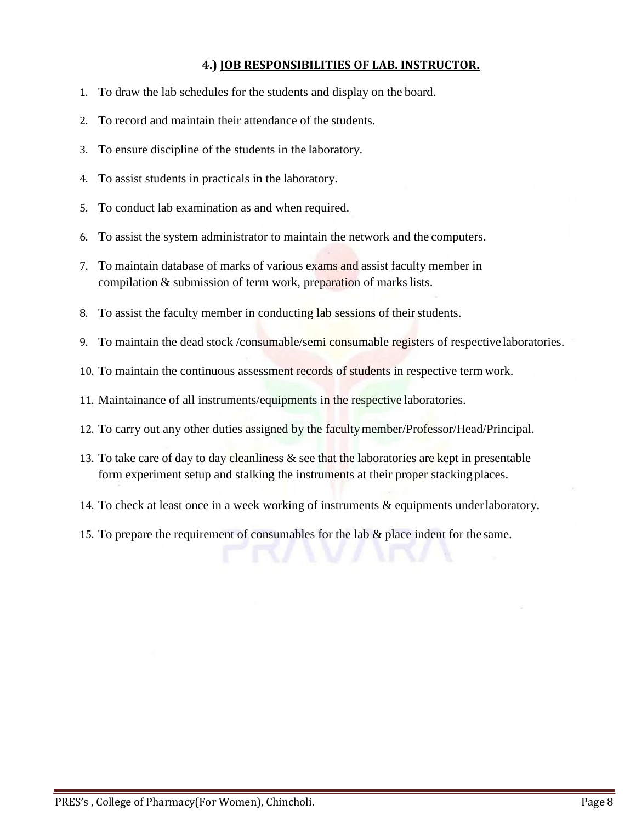### **4.) JOB RESPONSIBILITIES OF LAB. INSTRUCTOR.**

- 1. To draw the lab schedules for the students and display on the board.
- 2. To record and maintain their attendance of the students.
- 3. To ensure discipline of the students in the laboratory.
- 4. To assist students in practicals in the laboratory.
- 5. To conduct lab examination as and when required.
- 6. To assist the system administrator to maintain the network and the computers.
- 7. To maintain database of marks of various exams and assist faculty member in compilation & submission of term work, preparation of marks lists.
- 8. To assist the faculty member in conducting lab sessions of their students.
- 9. To maintain the dead stock /consumable/semi consumable registers of respective laboratories.
- 10. To maintain the continuous assessment records of students in respective term work.
- 11. Maintainance of all instruments/equipments in the respective laboratories.
- 12. To carry out any other duties assigned by the facultymember/Professor/Head/Principal.
- 13. To take care of day to day cleanliness  $\&$  see that the laboratories are kept in presentable form experiment setup and stalking the instruments at their proper stacking places.
- 14. To check at least once in a week working of instruments & equipments underlaboratory.
- 15. To prepare the requirement of consumables for the lab & place indent for the same.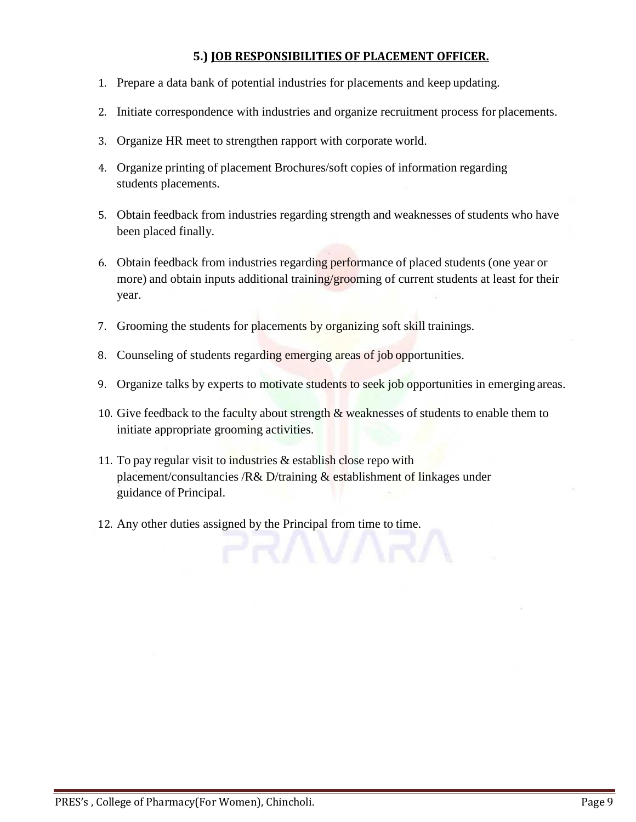### **5.) JOB RESPONSIBILITIES OF PLACEMENT OFFICER.**

- 1. Prepare a data bank of potential industries for placements and keep updating.
- 2. Initiate correspondence with industries and organize recruitment process for placements.
- 3. Organize HR meet to strengthen rapport with corporate world.
- 4. Organize printing of placement Brochures/soft copies of information regarding students placements.
- 5. Obtain feedback from industries regarding strength and weaknesses of students who have been placed finally.
- 6. Obtain feedback from industries regarding performance of placed students (one year or more) and obtain inputs additional training/grooming of current students at least for their year.
- 7. Grooming the students for placements by organizing soft skill trainings.
- 8. Counseling of students regarding emerging areas of job opportunities.
- 9. Organize talks by experts to motivate students to seek job opportunities in emerging areas.
- 10. Give feedback to the faculty about strength & weaknesses of students to enable them to initiate appropriate grooming activities.
- 11. To pay regular visit to industries  $&$  establish close repo with placement/consultancies /R& D/training & establishment of linkages under guidance of Principal.
- 12. Any other duties assigned by the Principal from time to time.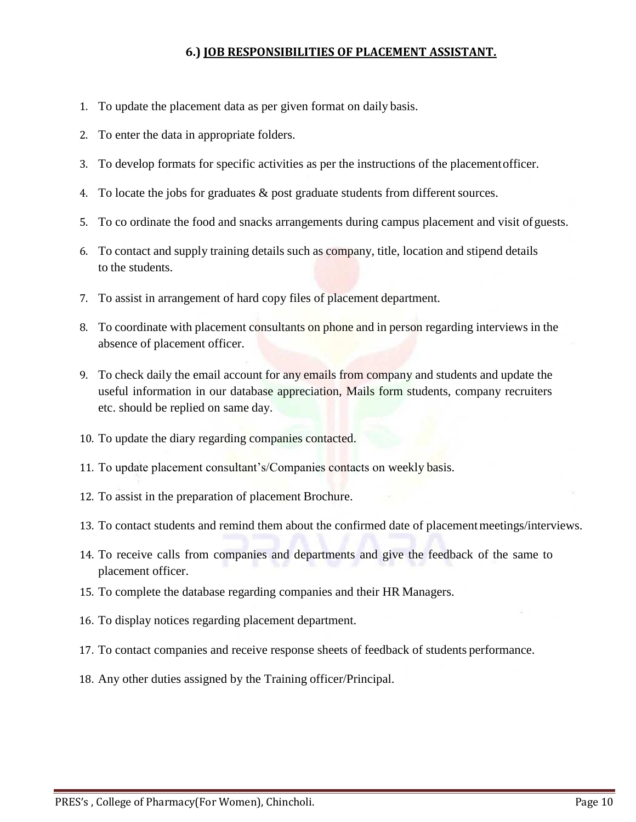#### **6.) JOB RESPONSIBILITIES OF PLACEMENT ASSISTANT.**

- 1. To update the placement data as per given format on daily basis.
- 2. To enter the data in appropriate folders.
- 3. To develop formats for specific activities as per the instructions of the placementofficer.
- 4. To locate the jobs for graduates  $\&$  post graduate students from different sources.
- 5. To co ordinate the food and snacks arrangements during campus placement and visit ofguests.
- 6. To contact and supply training details such as company, title, location and stipend details to the students.
- 7. To assist in arrangement of hard copy files of placement department.
- 8. To coordinate with placement consultants on phone and in person regarding interviews in the absence of placement officer.
- 9. To check daily the email account for any emails from company and students and update the useful information in our database appreciation, Mails form students, company recruiters etc. should be replied on same day.
- 10. To update the diary regarding companies contacted.
- 11. To update placement consultant's/Companies contacts on weekly basis.
- 12. To assist in the preparation of placement Brochure.
- 13. To contact students and remind them about the confirmed date of placementmeetings/interviews.
- 14. To receive calls from companies and departments and give the feedback of the same to placement officer.
- 15. To complete the database regarding companies and their HR Managers.
- 16. To display notices regarding placement department.
- 17. To contact companies and receive response sheets of feedback of students performance.
- 18. Any other duties assigned by the Training officer/Principal.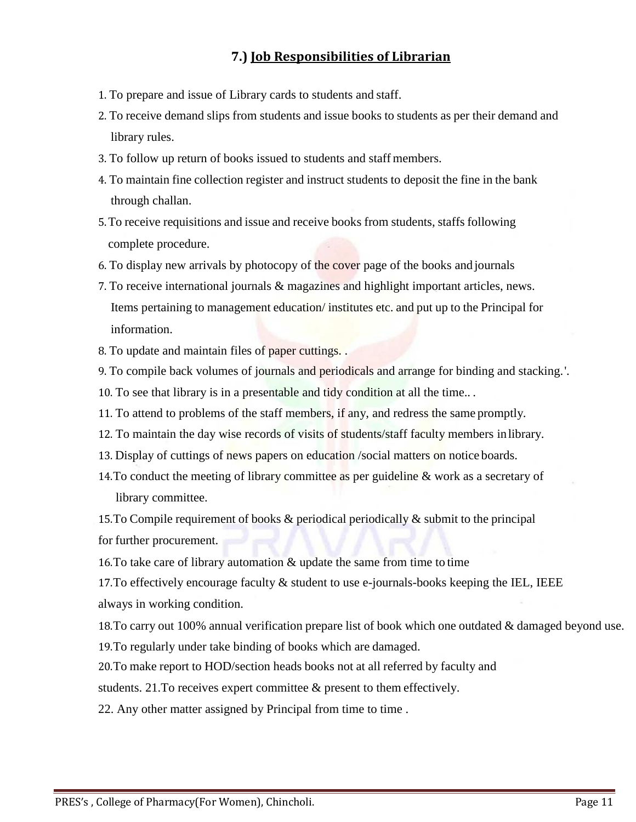## **7.) Job Responsibilities of Librarian**

- 1. To prepare and issue of Library cards to students and staff.
- 2. To receive demand slips from students and issue books to students as per their demand and library rules.
- 3. To follow up return of books issued to students and staff members.
- 4. To maintain fine collection register and instruct students to deposit the fine in the bank through challan.
- 5.To receive requisitions and issue and receive books from students, staffs following complete procedure.
- 6. To display new arrivals by photocopy of the cover page of the books and journals
- 7. To receive international journals & magazines and highlight important articles, news. Items pertaining to management education/ institutes etc. and put up to the Principal for information.
- 8. To update and maintain files of paper cuttings. .
- 9. To compile back volumes of journals and periodicals and arrange for binding and stacking.'.
- 10. To see that library is in a presentable and tidy condition at all the time.. .
- 11. To attend to problems of the staff members, if any, and redress the same promptly.
- 12. To maintain the day wise records of visits of students/staff faculty members inlibrary.
- 13. Display of cuttings of news papers on education /social matters on notice boards.
- 14.To conduct the meeting of library committee as per guideline & work as a secretary of library committee.

15.To Compile requirement of books & periodical periodically & submit to the principal for further procurement.

16.To take care of library automation & update the same from time to time

17.To effectively encourage faculty & student to use e-journals-books keeping the IEL, IEEE always in working condition.

18.To carry out 100% annual verification prepare list of book which one outdated & damaged beyond use.

19.To regularly under take binding of books which are damaged.

20.To make report to HOD/section heads books not at all referred by faculty and

students. 21.To receives expert committee & present to them effectively.

22. Any other matter assigned by Principal from time to time.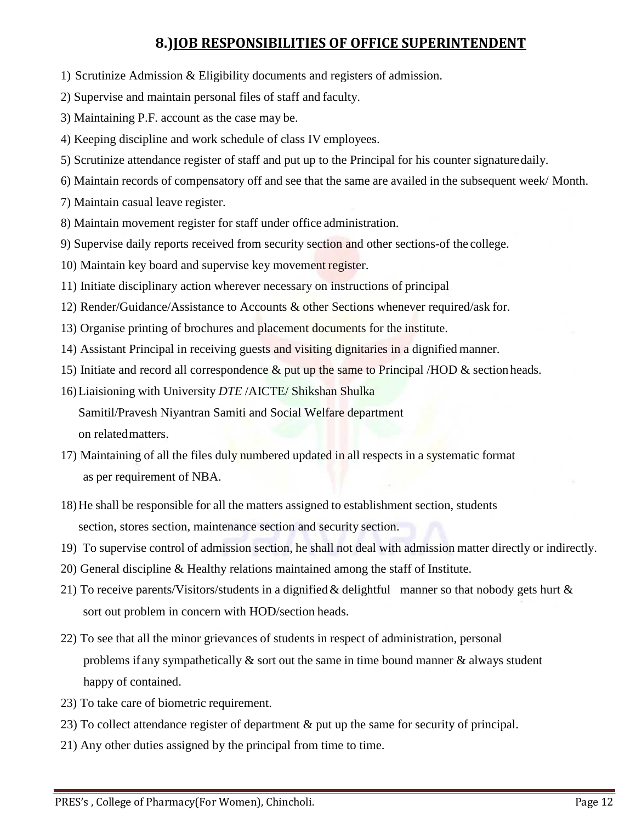## **8.)JOB RESPONSIBILITIES OF OFFICE SUPERINTENDENT**

- 1) Scrutinize Admission & Eligibility documents and registers of admission.
- 2) Supervise and maintain personal files of staff and faculty.
- 3) Maintaining P.F. account as the case may be.
- 4) Keeping discipline and work schedule of class IV employees.
- 5) Scrutinize attendance register of staff and put up to the Principal for his counter signaturedaily.
- 6) Maintain records of compensatory off and see that the same are availed in the subsequent week/ Month.
- 7) Maintain casual leave register.
- 8) Maintain movement register for staff under office administration.
- 9) Supervise daily reports received from security section and other sections-of the college.
- 10) Maintain key board and supervise key movement register.
- 11) Initiate disciplinary action wherever necessary on instructions of principal
- 12) Render/Guidance/Assistance to Accounts & other Sections whenever required/ask for.
- 13) Organise printing of brochures and placement documents for the institute.
- 14) Assistant Principal in receiving guests and visiting dignitaries in a dignified manner.
- 15) Initiate and record all correspondence  $\&$  put up the same to Principal /HOD  $\&$  section heads.
- 16)Liaisioning with University *DTE* /AICTE/ Shikshan Shulka Samitil/Pravesh Niyantran Samiti and Social Welfare department
	- on relatedmatters.
- 17) Maintaining of all the files duly numbered updated in all respects in a systematic format as per requirement of NBA.
- 18)He shall be responsible for all the matters assigned to establishment section, students section, stores section, maintenance section and security section.
- 19) To supervise control of admission section, he shall not deal with admission matter directly or indirectly.
- 20) General discipline & Healthy relations maintained among the staff of Institute.
- 21) To receive parents/Visitors/students in a dignified  $\&$  delightful manner so that nobody gets hurt  $\&$ sort out problem in concern with HOD/section heads.
- 22) To see that all the minor grievances of students in respect of administration, personal problems if any sympathetically  $\&$  sort out the same in time bound manner  $\&$  always student happy of contained.
- 23) To take care of biometric requirement.
- 23) To collect attendance register of department & put up the same for security of principal.
- 21) Any other duties assigned by the principal from time to time.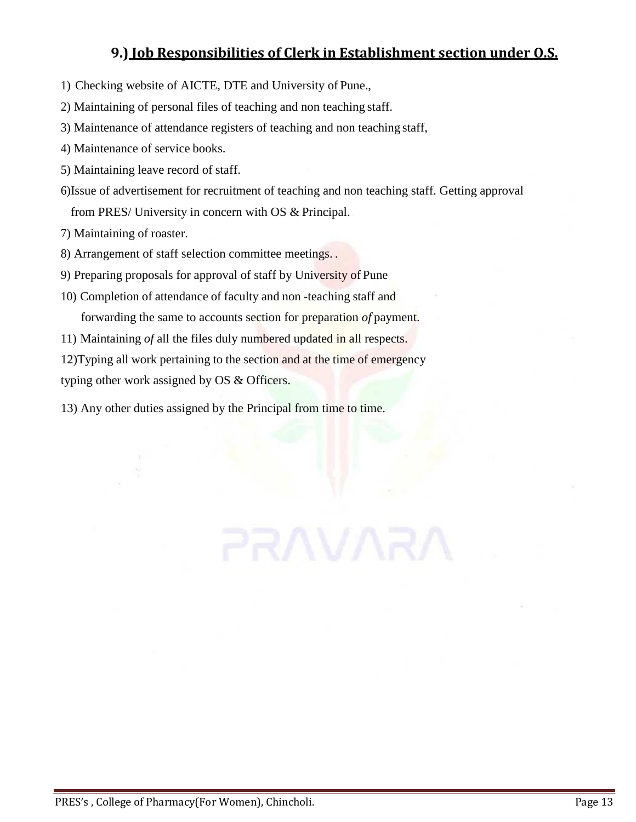## **9.) Job Responsibilities of Clerk in Establishment section under O.S.**

RRAVARA

- 1) Checking website of AICTE, DTE and University of Pune.,
- 2) Maintaining of personal files of teaching and non teaching staff.
- 3) Maintenance of attendance registers of teaching and non teaching staff,
- 4) Maintenance of service books.
- 5) Maintaining leave record of staff.
- 6)Issue of advertisement for recruitment of teaching and non teaching staff. Getting approval from PRES/ University in concern with OS & Principal.
- 7) Maintaining of roaster.
- 8) Arrangement of staff selection committee meetings. .
- 9) Preparing proposals for approval of staff by University of Pune
- 10) Completion of attendance of faculty and non -teaching staff and forwarding the same to accounts section for preparation *of* payment.
- 11) Maintaining *of* all the files duly numbered updated in all respects.

12)Typing all work pertaining to the section and at the time of emergency typing other work assigned by OS & Officers.

13) Any other duties assigned by the Principal from time to time.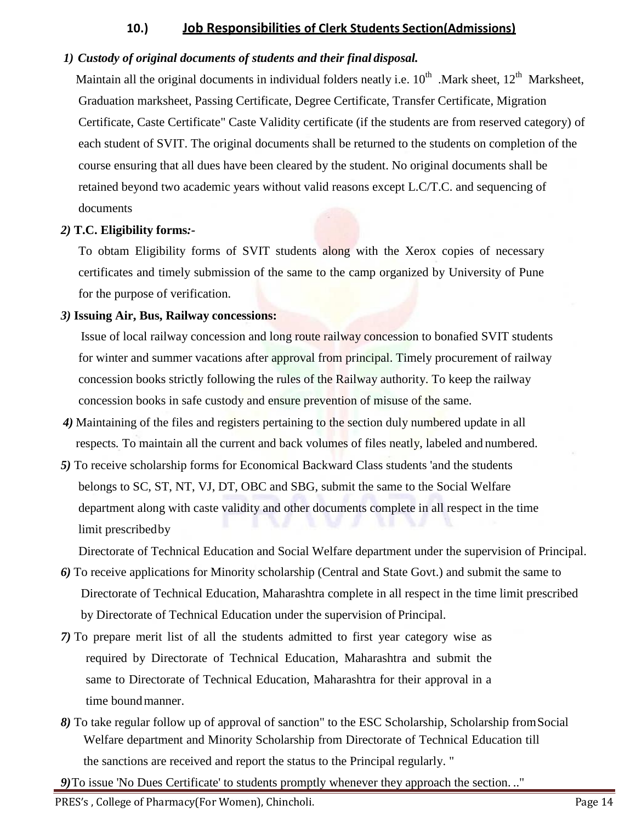## **10.) Job Responsibilities of Clerk Students Section(Admissions)**

### *1) Custody of original documents of students and their final disposal.*

Maintain all the original documents in individual folders neatly i.e.  $10^{th}$  .Mark sheet,  $12^{th}$  Marksheet, Graduation marksheet, Passing Certificate, Degree Certificate, Transfer Certificate, Migration Certificate, Caste Certificate" Caste Validity certificate (if the students are from reserved category) of each student of SVIT. The original documents shall be returned to the students on completion of the course ensuring that all dues have been cleared by the student. No original documents shall be retained beyond two academic years without valid reasons except L.C/T.C. and sequencing of documents

#### *2)* **T.C. Eligibility forms***:-*

To obtam Eligibility forms of SVIT students along with the Xerox copies of necessary certificates and timely submission of the same to the camp organized by University of Pune for the purpose of verification.

#### *3)* **Issuing Air, Bus, Railway concessions:**

Issue of local railway concession and long route railway concession to bonafied SVIT students for winter and summer vacations after approval from principal. Timely procurement of railway concession books strictly following the rules of the Railway authority. To keep the railway concession books in safe custody and ensure prevention of misuse of the same.

- *4)* Maintaining of the files and registers pertaining to the section duly numbered update in all respects*.* To maintain all the current and back volumes of files neatly, labeled and numbered.
- *5)* To receive scholarship forms for Economical Backward Class students 'and the students belongs to SC, ST, NT, VJ, DT, OBC and SBG, submit the same to the Social Welfare department along with caste validity and other documents complete in all respect in the time limit prescribedby

Directorate of Technical Education and Social Welfare department under the supervision of Principal.

- *6)* To receive applications for Minority scholarship (Central and State Govt.) and submit the same to Directorate of Technical Education, Maharashtra complete in all respect in the time limit prescribed by Directorate of Technical Education under the supervision of Principal.
- *7)* To prepare merit list of all the students admitted to first year category wise as required by Directorate of Technical Education, Maharashtra and submit the same to Directorate of Technical Education, Maharashtra for their approval in a time bound manner.
- *8)* To take regular follow up of approval of sanction" to the ESC Scholarship, Scholarship fromSocial Welfare department and Minority Scholarship from Directorate of Technical Education till the sanctions are received and report the status to the Principal regularly. "

*9)*To issue 'No Dues Certificate' to students promptly whenever they approach the section. .."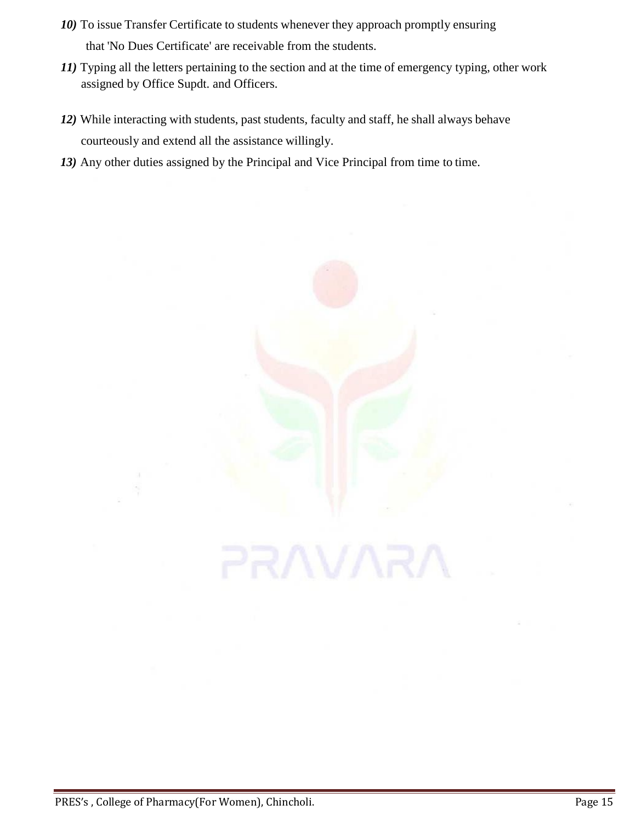- *10)* To issue Transfer Certificate to students whenever they approach promptly ensuring that 'No Dues Certificate' are receivable from the students.
- *11)* Typing all the letters pertaining to the section and at the time of emergency typing, other work assigned by Office Supdt. and Officers.

PRAVARA

- *12)* While interacting with students, past students, faculty and staff, he shall always behave courteously and extend all the assistance willingly.
- *13)* Any other duties assigned by the Principal and Vice Principal from time to time.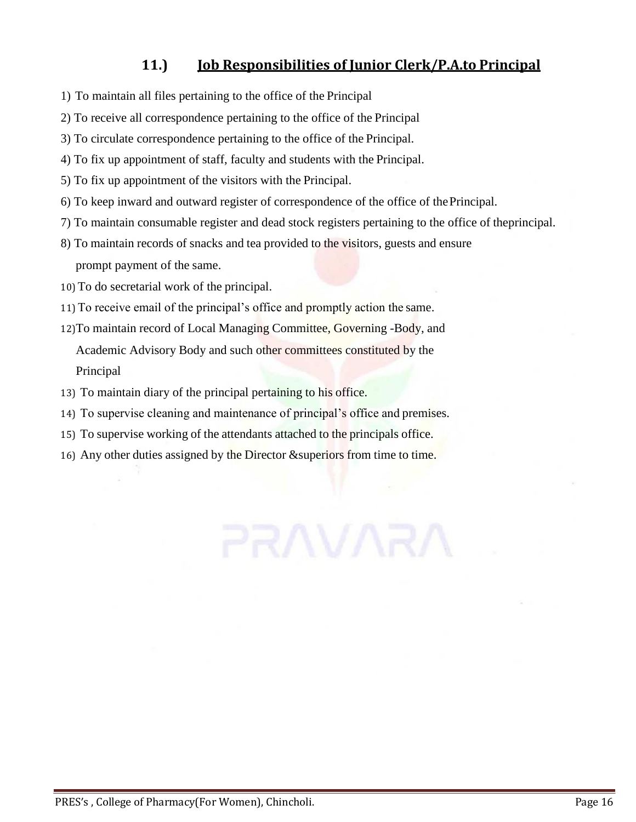## **11.) Job Responsibilities of Junior Clerk/P.A.to Principal**

- 1) To maintain all files pertaining to the office of the Principal
- 2) To receive all correspondence pertaining to the office of the Principal
- 3) To circulate correspondence pertaining to the office of the Principal.
- 4) To fix up appointment of staff, faculty and students with the Principal.
- 5) To fix up appointment of the visitors with the Principal.
- 6) To keep inward and outward register of correspondence of the office of thePrincipal.
- 7) To maintain consumable register and dead stock registers pertaining to the office of theprincipal.

PRAVARA

- 8) To maintain records of snacks and tea provided to the visitors, guests and ensure prompt payment of the same.
- 10) To do secretarial work of the principal.
- 11) To receive email of the principal's office and promptly action the same.
- 12)To maintain record of Local Managing Committee, Governing -Body, and Academic Advisory Body and such other committees constituted by the Principal
- 13) To maintain diary of the principal pertaining to his office.
- 14) To supervise cleaning and maintenance of principal's office and premises.
- 15) To supervise working of the attendants attached to the principals office.
- 16) Any other duties assigned by the Director &superiors from time to time.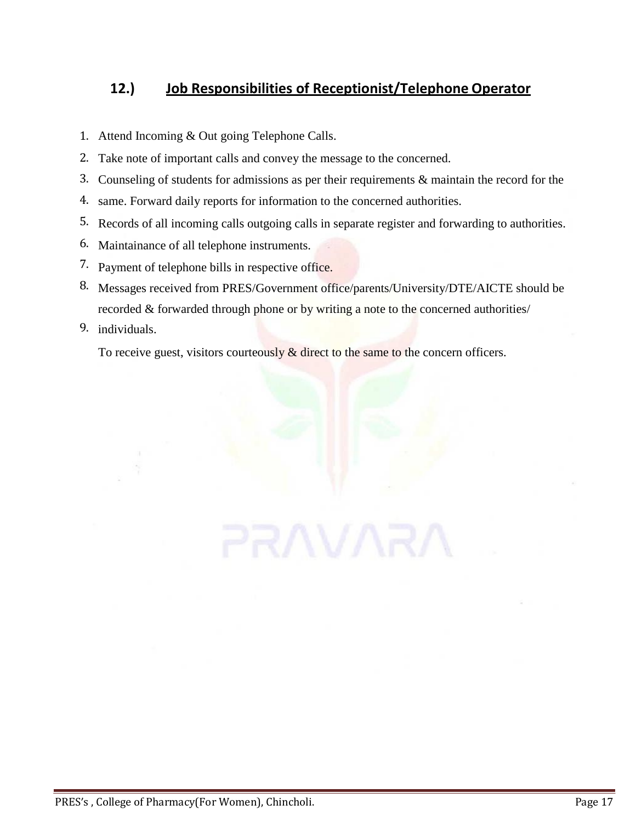## **12.) Job Responsibilities of Receptionist/Telephone Operator**

- 1. Attend Incoming & Out going Telephone Calls.
- 2. Take note of important calls and convey the message to the concerned.
- 3. Counseling of students for admissions as per their requirements & maintain the record for the
- 4. same. Forward daily reports for information to the concerned authorities.
- 5. Records of all incoming calls outgoing calls in separate register and forwarding to authorities.
- 6. Maintainance of all telephone instruments.
- 7. Payment of telephone bills in respective office.
- 8. Messages received from PRES/Government office/parents/University/DTE/AICTE should be recorded & forwarded through phone or by writing a note to the concerned authorities/

PRAVARA

9. individuals.

To receive guest, visitors courteously & direct to the same to the concern officers.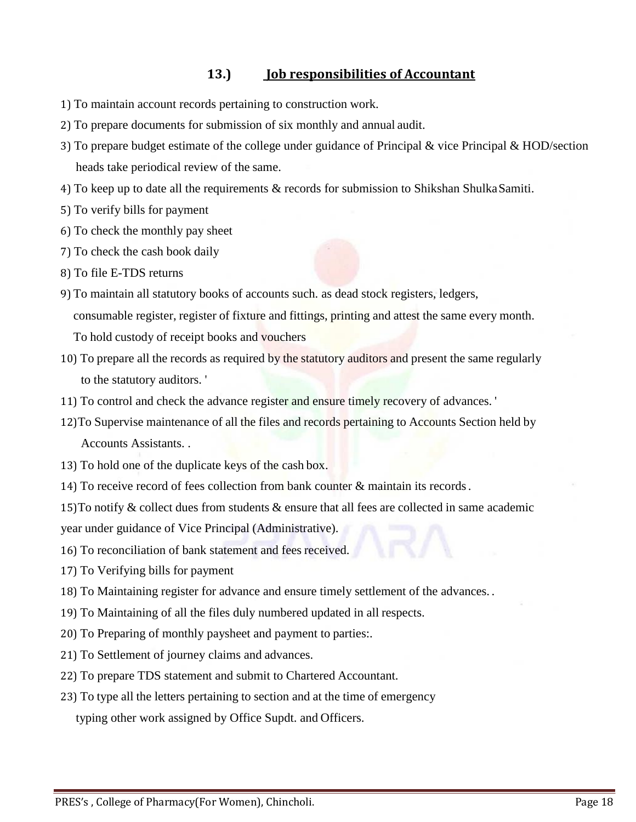## **13.) Job responsibilities of Accountant**

- 1) To maintain account records pertaining to construction work.
- 2) To prepare documents for submission of six monthly and annual audit.
- 3) To prepare budget estimate of the college under guidance of Principal & vice Principal & HOD/section heads take periodical review of the same.
- 4) To keep up to date all the requirements & records for submission to Shikshan ShulkaSamiti.
- 5) To verify bills for payment
- 6) To check the monthly pay sheet
- 7) To check the cash book daily
- 8) To file E-TDS returns
- 9) To maintain all statutory books of accounts such. as dead stock registers, ledgers, consumable register, register of fixture and fittings, printing and attest the same every month.

To hold custody of receipt books and vouchers

- 10) To prepare all the records as required by the statutory auditors and present the same regularly to the statutory auditors. '
- 11) To control and check the advance register and ensure timely recovery of advances. '
- 12)To Supervise maintenance of all the files and records pertaining to Accounts Section held by Accounts Assistants. .
- 13) To hold one of the duplicate keys of the cash box.
- 14) To receive record of fees collection from bank counter & maintain its records.

15)To notify & collect dues from students & ensure that all fees are collected in same academic

year under guidance of Vice Principal (Administrative).

- 16) To reconciliation of bank statement and fees received.
- 17) To Verifying bills for payment
- 18) To Maintaining register for advance and ensure timely settlement of the advances. .
- 19) To Maintaining of all the files duly numbered updated in all respects.
- 20) To Preparing of monthly paysheet and payment to parties:.
- 21) To Settlement of journey claims and advances.
- 22) To prepare TDS statement and submit to Chartered Accountant.
- 23) To type all the letters pertaining to section and at the time of emergency typing other work assigned by Office Supdt. and Officers.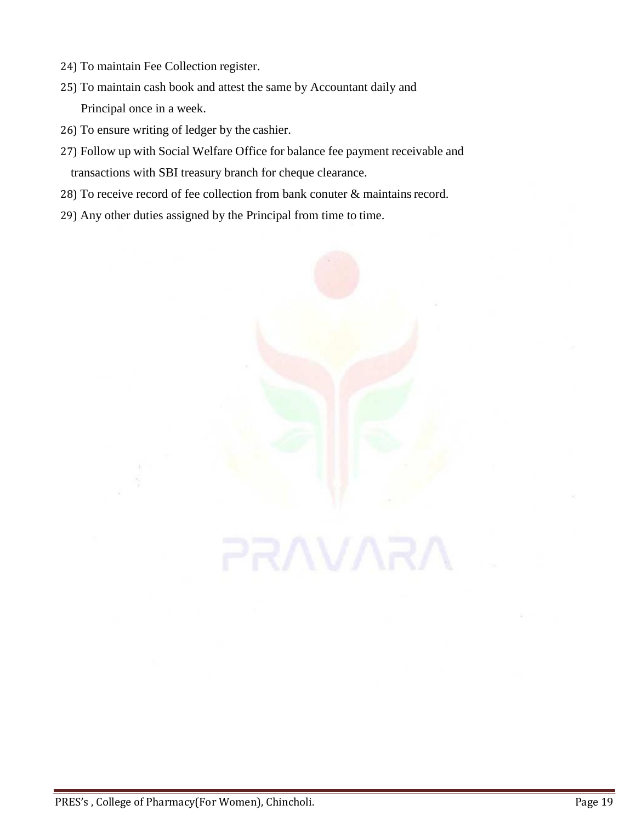- 24) To maintain Fee Collection register.
- 25) To maintain cash book and attest the same by Accountant daily and Principal once in a week.
- 26) To ensure writing of ledger by the cashier.
- 27) Follow up with Social Welfare Office for balance fee payment receivable and transactions with SBI treasury branch for cheque clearance.

PRAVARA

- 28) To receive record of fee collection from bank conuter & maintains record.
- 29) Any other duties assigned by the Principal from time to time.